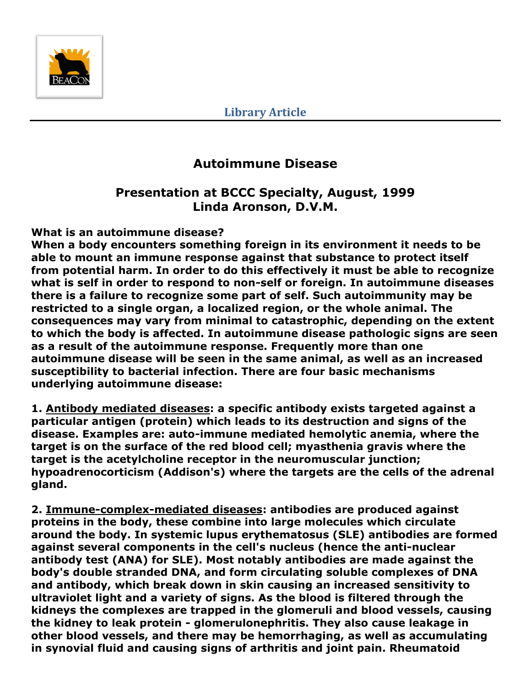

# **Autoimmune Disease**

# **Presentation at BCCC Specialty, August, 1999 Linda Aronson, D.V.M.**

### **What is an autoimmune disease?**

**When a body encounters something foreign in its environment it needs to be able to mount an immune response against that substance to protect itself from potential harm. In order to do this effectively it must be able to recognize what is self in order to respond to non-self or foreign. In autoimmune diseases there is a failure to recognize some part of self. Such autoimmunity may be restricted to a single organ, a localized region, or the whole animal. The consequences may vary from minimal to catastrophic, depending on the extent to which the body is affected. In autoimmune disease pathologic signs are seen as a result of the autoimmune response. Frequently more than one autoimmune disease will be seen in the same animal, as well as an increased susceptibility to bacterial infection. There are four basic mechanisms underlying autoimmune disease:**

**1. Antibody mediated diseases: a specific antibody exists targeted against a particular antigen (protein) which leads to its destruction and signs of the disease. Examples are: auto-immune mediated hemolytic anemia, where the target is on the surface of the red blood cell; myasthenia gravis where the target is the acetylcholine receptor in the neuromuscular junction; hypoadrenocorticism (Addison's) where the targets are the cells of the adrenal gland.** 

**2. Immune-complex-mediated diseases: antibodies are produced against proteins in the body, these combine into large molecules which circulate around the body. In systemic lupus erythematosus (SLE) antibodies are formed against several components in the cell's nucleus (hence the anti-nuclear antibody test (ANA) for SLE). Most notably antibodies are made against the body's double stranded DNA, and form circulating soluble complexes of DNA and antibody, which break down in skin causing an increased sensitivity to ultraviolet light and a variety of signs. As the blood is filtered through the kidneys the complexes are trapped in the glomeruli and blood vessels, causing the kidney to leak protein - glomerulonephritis. They also cause leakage in other blood vessels, and there may be hemorrhaging, as well as accumulating in synovial fluid and causing signs of arthritis and joint pain. Rheumatoid**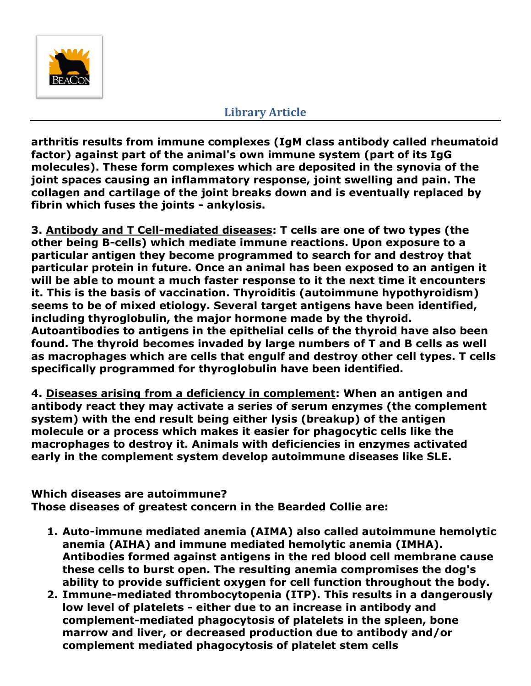

**arthritis results from immune complexes (IgM class antibody called rheumatoid factor) against part of the animal's own immune system (part of its IgG molecules). These form complexes which are deposited in the synovia of the joint spaces causing an inflammatory response, joint swelling and pain. The collagen and cartilage of the joint breaks down and is eventually replaced by fibrin which fuses the joints - ankylosis.**

**3. Antibody and T Cell-mediated diseases: T cells are one of two types (the other being B-cells) which mediate immune reactions. Upon exposure to a particular antigen they become programmed to search for and destroy that particular protein in future. Once an animal has been exposed to an antigen it will be able to mount a much faster response to it the next time it encounters it. This is the basis of vaccination. Thyroiditis (autoimmune hypothyroidism) seems to be of mixed etiology. Several target antigens have been identified, including thyroglobulin, the major hormone made by the thyroid. Autoantibodies to antigens in the epithelial cells of the thyroid have also been found. The thyroid becomes invaded by large numbers of T and B cells as well as macrophages which are cells that engulf and destroy other cell types. T cells specifically programmed for thyroglobulin have been identified.**

**4. Diseases arising from a deficiency in complement: When an antigen and antibody react they may activate a series of serum enzymes (the complement system) with the end result being either lysis (breakup) of the antigen molecule or a process which makes it easier for phagocytic cells like the macrophages to destroy it. Animals with deficiencies in enzymes activated early in the complement system develop autoimmune diseases like SLE.**

#### **Which diseases are autoimmune?**

**Those diseases of greatest concern in the Bearded Collie are:** 

- **1. Auto-immune mediated anemia (AIMA) also called autoimmune hemolytic anemia (AIHA) and immune mediated hemolytic anemia (IMHA). Antibodies formed against antigens in the red blood cell membrane cause these cells to burst open. The resulting anemia compromises the dog's ability to provide sufficient oxygen for cell function throughout the body.**
- **2. Immune-mediated thrombocytopenia (ITP). This results in a dangerously low level of platelets - either due to an increase in antibody and complement-mediated phagocytosis of platelets in the spleen, bone marrow and liver, or decreased production due to antibody and/or complement mediated phagocytosis of platelet stem cells**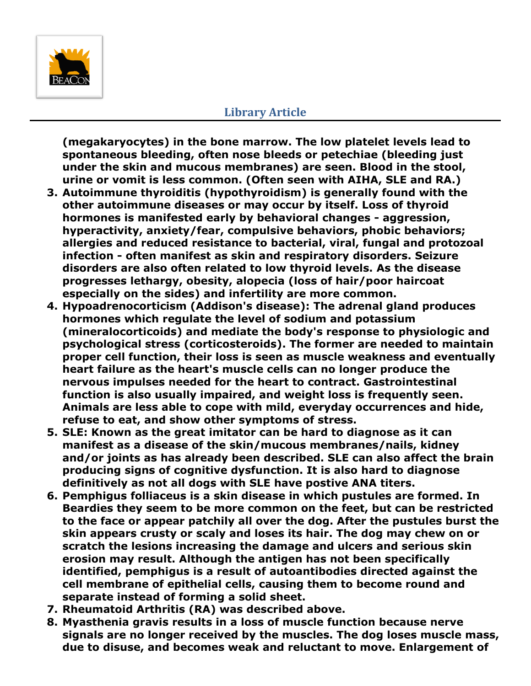

**(megakaryocytes) in the bone marrow. The low platelet levels lead to spontaneous bleeding, often nose bleeds or petechiae (bleeding just under the skin and mucous membranes) are seen. Blood in the stool, urine or vomit is less common. (Often seen with AIHA, SLE and RA.)**

- **3. Autoimmune thyroiditis (hypothyroidism) is generally found with the other autoimmune diseases or may occur by itself. Loss of thyroid hormones is manifested early by behavioral changes - aggression, hyperactivity, anxiety/fear, compulsive behaviors, phobic behaviors; allergies and reduced resistance to bacterial, viral, fungal and protozoal infection - often manifest as skin and respiratory disorders. Seizure disorders are also often related to low thyroid levels. As the disease progresses lethargy, obesity, alopecia (loss of hair/poor haircoat especially on the sides) and infertility are more common.**
- **4. Hypoadrenocorticism (Addison's disease): The adrenal gland produces hormones which regulate the level of sodium and potassium (mineralocorticoids) and mediate the body's response to physiologic and psychological stress (corticosteroids). The former are needed to maintain proper cell function, their loss is seen as muscle weakness and eventually heart failure as the heart's muscle cells can no longer produce the nervous impulses needed for the heart to contract. Gastrointestinal function is also usually impaired, and weight loss is frequently seen. Animals are less able to cope with mild, everyday occurrences and hide, refuse to eat, and show other symptoms of stress.**
- **5. SLE: Known as the great imitator can be hard to diagnose as it can manifest as a disease of the skin/mucous membranes/nails, kidney and/or joints as has already been described. SLE can also affect the brain producing signs of cognitive dysfunction. It is also hard to diagnose definitively as not all dogs with SLE have postive ANA titers.**
- **6. Pemphigus folliaceus is a skin disease in which pustules are formed. In Beardies they seem to be more common on the feet, but can be restricted to the face or appear patchily all over the dog. After the pustules burst the skin appears crusty or scaly and loses its hair. The dog may chew on or scratch the lesions increasing the damage and ulcers and serious skin erosion may result. Although the antigen has not been specifically identified, pemphigus is a result of autoantibodies directed against the cell membrane of epithelial cells, causing them to become round and separate instead of forming a solid sheet.**
- **7. Rheumatoid Arthritis (RA) was described above.**
- **8. Myasthenia gravis results in a loss of muscle function because nerve signals are no longer received by the muscles. The dog loses muscle mass, due to disuse, and becomes weak and reluctant to move. Enlargement of**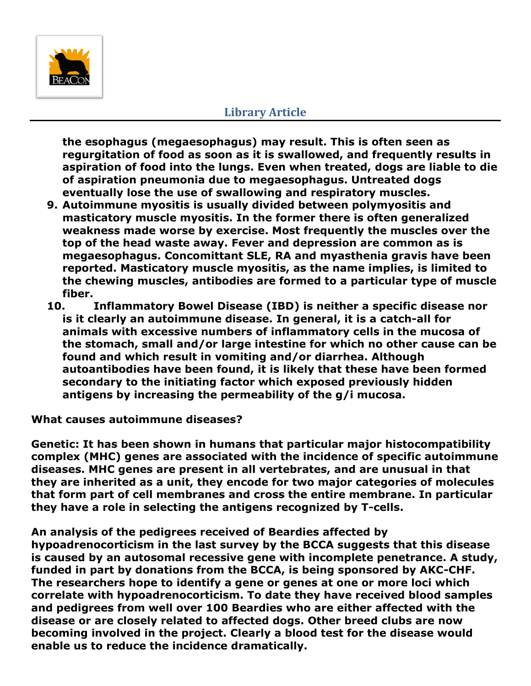

**the esophagus (megaesophagus) may result. This is often seen as regurgitation of food as soon as it is swallowed, and frequently results in aspiration of food into the lungs. Even when treated, dogs are liable to die of aspiration pneumonia due to megaesophagus. Untreated dogs eventually lose the use of swallowing and respiratory muscles.**

- **9. Autoimmune myositis is usually divided between polymyositis and masticatory muscle myositis. In the former there is often generalized weakness made worse by exercise. Most frequently the muscles over the top of the head waste away. Fever and depression are common as is megaesophagus. Concomittant SLE, RA and myasthenia gravis have been reported. Masticatory muscle myositis, as the name implies, is limited to the chewing muscles, antibodies are formed to a particular type of muscle fiber.**
- **10. Inflammatory Bowel Disease (IBD) is neither a specific disease nor is it clearly an autoimmune disease. In general, it is a catch-all for animals with excessive numbers of inflammatory cells in the mucosa of the stomach, small and/or large intestine for which no other cause can be found and which result in vomiting and/or diarrhea. Although autoantibodies have been found, it is likely that these have been formed secondary to the initiating factor which exposed previously hidden antigens by increasing the permeability of the g/i mucosa.**

**What causes autoimmune diseases?** 

**Genetic: It has been shown in humans that particular major histocompatibility complex (MHC) genes are associated with the incidence of specific autoimmune diseases. MHC genes are present in all vertebrates, and are unusual in that they are inherited as a unit, they encode for two major categories of molecules that form part of cell membranes and cross the entire membrane. In particular they have a role in selecting the antigens recognized by T-cells.**

**An analysis of the pedigrees received of Beardies affected by hypoadrenocorticism in the last survey by the BCCA suggests that this disease is caused by an autosomal recessive gene with incomplete penetrance. A study, funded in part by donations from the BCCA, is being sponsored by AKC-CHF. The researchers hope to identify a gene or genes at one or more loci which correlate with hypoadrenocorticism. To date they have received blood samples and pedigrees from well over 100 Beardies who are either affected with the disease or are closely related to affected dogs. Other breed clubs are now becoming involved in the project. Clearly a blood test for the disease would enable us to reduce the incidence dramatically.**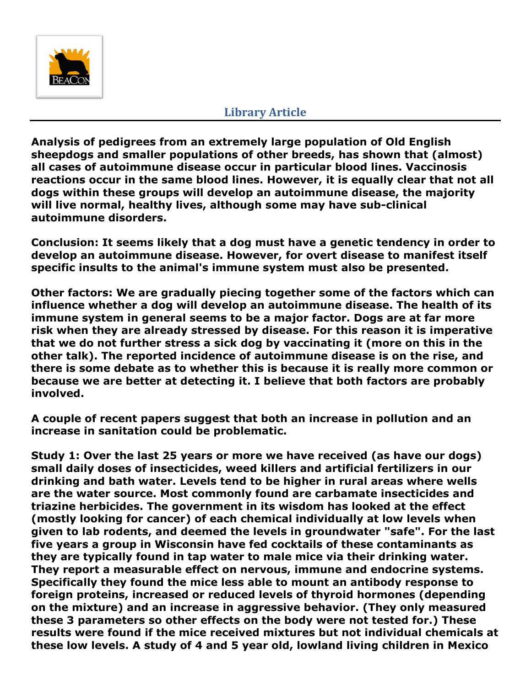

**Analysis of pedigrees from an extremely large population of Old English sheepdogs and smaller populations of other breeds, has shown that (almost) all cases of autoimmune disease occur in particular blood lines. Vaccinosis reactions occur in the same blood lines. However, it is equally clear that not all dogs within these groups will develop an autoimmune disease, the majority will live normal, healthy lives, although some may have sub-clinical autoimmune disorders.**

**Conclusion: It seems likely that a dog must have a genetic tendency in order to develop an autoimmune disease. However, for overt disease to manifest itself specific insults to the animal's immune system must also be presented.**

**Other factors: We are gradually piecing together some of the factors which can influence whether a dog will develop an autoimmune disease. The health of its immune system in general seems to be a major factor. Dogs are at far more risk when they are already stressed by disease. For this reason it is imperative that we do not further stress a sick dog by vaccinating it (more on this in the other talk). The reported incidence of autoimmune disease is on the rise, and there is some debate as to whether this is because it is really more common or because we are better at detecting it. I believe that both factors are probably involved.**

**A couple of recent papers suggest that both an increase in pollution and an increase in sanitation could be problematic.**

**Study 1: Over the last 25 years or more we have received (as have our dogs) small daily doses of insecticides, weed killers and artificial fertilizers in our drinking and bath water. Levels tend to be higher in rural areas where wells are the water source. Most commonly found are carbamate insecticides and triazine herbicides. The government in its wisdom has looked at the effect (mostly looking for cancer) of each chemical individually at low levels when given to lab rodents, and deemed the levels in groundwater "safe". For the last five years a group in Wisconsin have fed cocktails of these contaminants as they are typically found in tap water to male mice via their drinking water. They report a measurable effect on nervous, immune and endocrine systems. Specifically they found the mice less able to mount an antibody response to foreign proteins, increased or reduced levels of thyroid hormones (depending on the mixture) and an increase in aggressive behavior. (They only measured these 3 parameters so other effects on the body were not tested for.) These results were found if the mice received mixtures but not individual chemicals at these low levels. A study of 4 and 5 year old, lowland living children in Mexico**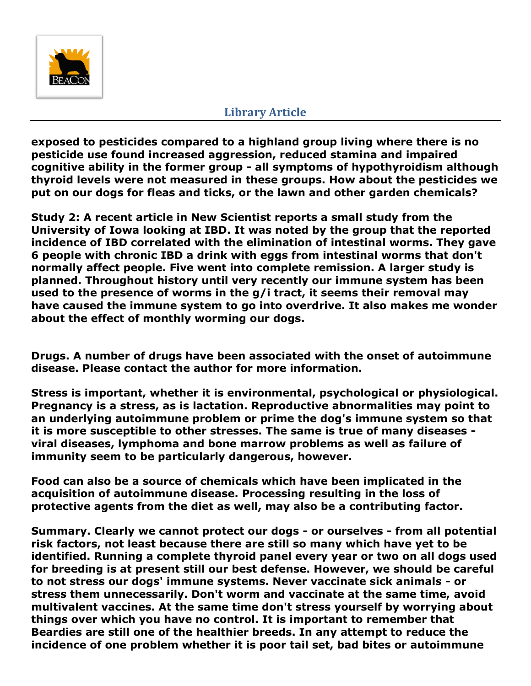

**exposed to pesticides compared to a highland group living where there is no pesticide use found increased aggression, reduced stamina and impaired cognitive ability in the former group - all symptoms of hypothyroidism although thyroid levels were not measured in these groups. How about the pesticides we put on our dogs for fleas and ticks, or the lawn and other garden chemicals?**

**Study 2: A recent article in New Scientist reports a small study from the University of Iowa looking at IBD. It was noted by the group that the reported incidence of IBD correlated with the elimination of intestinal worms. They gave 6 people with chronic IBD a drink with eggs from intestinal worms that don't normally affect people. Five went into complete remission. A larger study is planned. Throughout history until very recently our immune system has been used to the presence of worms in the g/i tract, it seems their removal may have caused the immune system to go into overdrive. It also makes me wonder about the effect of monthly worming our dogs.** 

**Drugs. A number of drugs have been associated with the onset of autoimmune disease. Please contact the author for more information.**

**Stress is important, whether it is environmental, psychological or physiological. Pregnancy is a stress, as is lactation. Reproductive abnormalities may point to an underlying autoimmune problem or prime the dog's immune system so that it is more susceptible to other stresses. The same is true of many diseases viral diseases, lymphoma and bone marrow problems as well as failure of immunity seem to be particularly dangerous, however.** 

**Food can also be a source of chemicals which have been implicated in the acquisition of autoimmune disease. Processing resulting in the loss of protective agents from the diet as well, may also be a contributing factor.**

**Summary. Clearly we cannot protect our dogs - or ourselves - from all potential risk factors, not least because there are still so many which have yet to be identified. Running a complete thyroid panel every year or two on all dogs used for breeding is at present still our best defense. However, we should be careful to not stress our dogs' immune systems. Never vaccinate sick animals - or stress them unnecessarily. Don't worm and vaccinate at the same time, avoid multivalent vaccines. At the same time don't stress yourself by worrying about things over which you have no control. It is important to remember that Beardies are still one of the healthier breeds. In any attempt to reduce the incidence of one problem whether it is poor tail set, bad bites or autoimmune**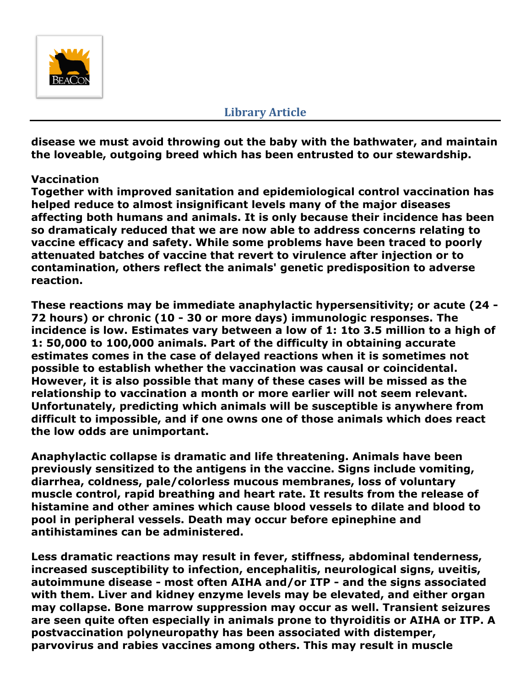

**disease we must avoid throwing out the baby with the bathwater, and maintain the loveable, outgoing breed which has been entrusted to our stewardship.**

#### **Vaccination**

**Together with improved sanitation and epidemiological control vaccination has helped reduce to almost insignificant levels many of the major diseases affecting both humans and animals. It is only because their incidence has been so dramaticaly reduced that we are now able to address concerns relating to vaccine efficacy and safety. While some problems have been traced to poorly attenuated batches of vaccine that revert to virulence after injection or to contamination, others reflect the animals' genetic predisposition to adverse reaction.** 

**These reactions may be immediate anaphylactic hypersensitivity; or acute (24 - 72 hours) or chronic (10 - 30 or more days) immunologic responses. The incidence is low. Estimates vary between a low of 1: 1to 3.5 million to a high of 1: 50,000 to 100,000 animals. Part of the difficulty in obtaining accurate estimates comes in the case of delayed reactions when it is sometimes not possible to establish whether the vaccination was causal or coincidental. However, it is also possible that many of these cases will be missed as the relationship to vaccination a month or more earlier will not seem relevant. Unfortunately, predicting which animals will be susceptible is anywhere from difficult to impossible, and if one owns one of those animals which does react the low odds are unimportant.**

**Anaphylactic collapse is dramatic and life threatening. Animals have been previously sensitized to the antigens in the vaccine. Signs include vomiting, diarrhea, coldness, pale/colorless mucous membranes, loss of voluntary muscle control, rapid breathing and heart rate. It results from the release of histamine and other amines which cause blood vessels to dilate and blood to pool in peripheral vessels. Death may occur before epinephine and antihistamines can be administered.**

**Less dramatic reactions may result in fever, stiffness, abdominal tenderness, increased susceptibility to infection, encephalitis, neurological signs, uveitis, autoimmune disease - most often AIHA and/or ITP - and the signs associated with them. Liver and kidney enzyme levels may be elevated, and either organ may collapse. Bone marrow suppression may occur as well. Transient seizures are seen quite often especially in animals prone to thyroiditis or AIHA or ITP. A postvaccination polyneuropathy has been associated with distemper, parvovirus and rabies vaccines among others. This may result in muscle**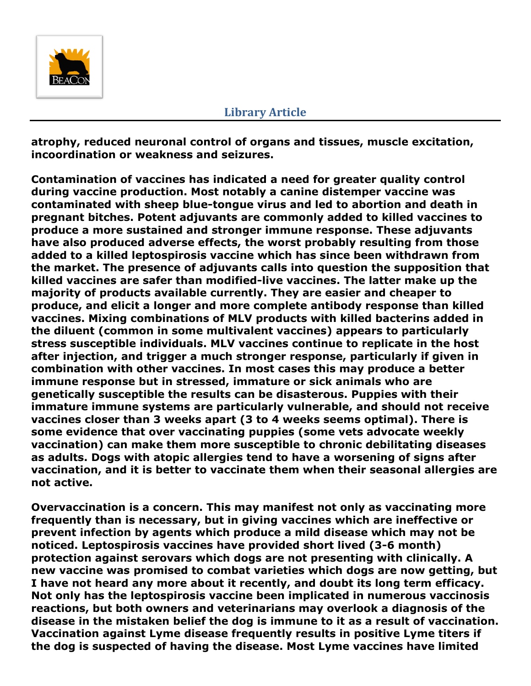

**atrophy, reduced neuronal control of organs and tissues, muscle excitation, incoordination or weakness and seizures.** 

**Contamination of vaccines has indicated a need for greater quality control during vaccine production. Most notably a canine distemper vaccine was contaminated with sheep blue-tongue virus and led to abortion and death in pregnant bitches. Potent adjuvants are commonly added to killed vaccines to produce a more sustained and stronger immune response. These adjuvants have also produced adverse effects, the worst probably resulting from those added to a killed leptospirosis vaccine which has since been withdrawn from the market. The presence of adjuvants calls into question the supposition that killed vaccines are safer than modified-live vaccines. The latter make up the majority of products available currently. They are easier and cheaper to produce, and elicit a longer and more complete antibody response than killed vaccines. Mixing combinations of MLV products with killed bacterins added in the diluent (common in some multivalent vaccines) appears to particularly stress susceptible individuals. MLV vaccines continue to replicate in the host after injection, and trigger a much stronger response, particularly if given in combination with other vaccines. In most cases this may produce a better immune response but in stressed, immature or sick animals who are genetically susceptible the results can be disasterous. Puppies with their immature immune systems are particularly vulnerable, and should not receive vaccines closer than 3 weeks apart (3 to 4 weeks seems optimal). There is some evidence that over vaccinating puppies (some vets advocate weekly vaccination) can make them more susceptible to chronic debilitating diseases as adults. Dogs with atopic allergies tend to have a worsening of signs after vaccination, and it is better to vaccinate them when their seasonal allergies are not active.**

**Overvaccination is a concern. This may manifest not only as vaccinating more frequently than is necessary, but in giving vaccines which are ineffective or prevent infection by agents which produce a mild disease which may not be noticed. Leptospirosis vaccines have provided short lived (3-6 month) protection against serovars which dogs are not presenting with clinically. A new vaccine was promised to combat varieties which dogs are now getting, but I have not heard any more about it recently, and doubt its long term efficacy. Not only has the leptospirosis vaccine been implicated in numerous vaccinosis reactions, but both owners and veterinarians may overlook a diagnosis of the disease in the mistaken belief the dog is immune to it as a result of vaccination. Vaccination against Lyme disease frequently results in positive Lyme titers if the dog is suspected of having the disease. Most Lyme vaccines have limited**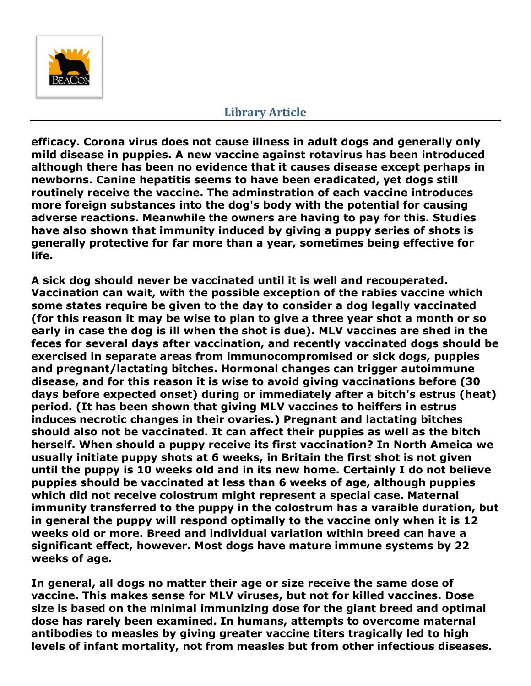

**efficacy. Corona virus does not cause illness in adult dogs and generally only mild disease in puppies. A new vaccine against rotavirus has been introduced although there has been no evidence that it causes disease except perhaps in newborns. Canine hepatitis seems to have been eradicated, yet dogs still routinely receive the vaccine. The adminstration of each vaccine introduces more foreign substances into the dog's body with the potential for causing adverse reactions. Meanwhile the owners are having to pay for this. Studies have also shown that immunity induced by giving a puppy series of shots is generally protective for far more than a year, sometimes being effective for life.**

**A sick dog should never be vaccinated until it is well and recouperated. Vaccination can wait, with the possible exception of the rabies vaccine which some states require be given to the day to consider a dog legally vaccinated (for this reason it may be wise to plan to give a three year shot a month or so early in case the dog is ill when the shot is due). MLV vaccines are shed in the feces for several days after vaccination, and recently vaccinated dogs should be exercised in separate areas from immunocompromised or sick dogs, puppies and pregnant/lactating bitches. Hormonal changes can trigger autoimmune disease, and for this reason it is wise to avoid giving vaccinations before (30 days before expected onset) during or immediately after a bitch's estrus (heat) period. (It has been shown that giving MLV vaccines to heiffers in estrus induces necrotic changes in their ovaries.) Pregnant and lactating bitches should also not be vaccinated. It can affect their puppies as well as the bitch herself. When should a puppy receive its first vaccination? In North Ameica we usually initiate puppy shots at 6 weeks, in Britain the first shot is not given until the puppy is 10 weeks old and in its new home. Certainly I do not believe puppies should be vaccinated at less than 6 weeks of age, although puppies which did not receive colostrum might represent a special case. Maternal immunity transferred to the puppy in the colostrum has a varaible duration, but in general the puppy will respond optimally to the vaccine only when it is 12 weeks old or more. Breed and individual variation within breed can have a significant effect, however. Most dogs have mature immune systems by 22 weeks of age.**

**In general, all dogs no matter their age or size receive the same dose of vaccine. This makes sense for MLV viruses, but not for killed vaccines. Dose size is based on the minimal immunizing dose for the giant breed and optimal dose has rarely been examined. In humans, attempts to overcome maternal antibodies to measles by giving greater vaccine titers tragically led to high levels of infant mortality, not from measles but from other infectious diseases.**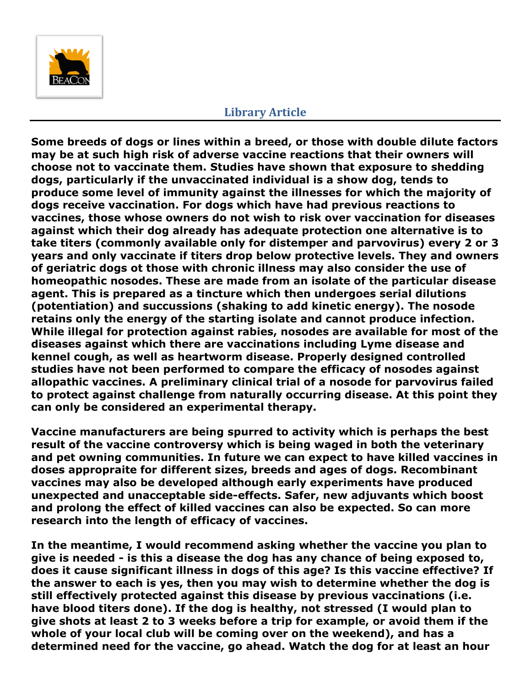

**Some breeds of dogs or lines within a breed, or those with double dilute factors may be at such high risk of adverse vaccine reactions that their owners will choose not to vaccinate them. Studies have shown that exposure to shedding dogs, particularly if the unvaccinated individual is a show dog, tends to produce some level of immunity against the illnesses for which the majority of dogs receive vaccination. For dogs which have had previous reactions to vaccines, those whose owners do not wish to risk over vaccination for diseases against which their dog already has adequate protection one alternative is to take titers (commonly available only for distemper and parvovirus) every 2 or 3 years and only vaccinate if titers drop below protective levels. They and owners of geriatric dogs ot those with chronic illness may also consider the use of homeopathic nosodes. These are made from an isolate of the particular disease agent. This is prepared as a tincture which then undergoes serial dilutions (potentiation) and succussions (shaking to add kinetic energy). The nosode retains only the energy of the starting isolate and cannot produce infection. While illegal for protection against rabies, nosodes are available for most of the diseases against which there are vaccinations including Lyme disease and kennel cough, as well as heartworm disease. Properly designed controlled studies have not been performed to compare the efficacy of nosodes against allopathic vaccines. A preliminary clinical trial of a nosode for parvovirus failed to protect against challenge from naturally occurring disease. At this point they can only be considered an experimental therapy.**

**Vaccine manufacturers are being spurred to activity which is perhaps the best result of the vaccine controversy which is being waged in both the veterinary and pet owning communities. In future we can expect to have killed vaccines in doses appropraite for different sizes, breeds and ages of dogs. Recombinant vaccines may also be developed although early experiments have produced unexpected and unacceptable side-effects. Safer, new adjuvants which boost and prolong the effect of killed vaccines can also be expected. So can more research into the length of efficacy of vaccines.** 

**In the meantime, I would recommend asking whether the vaccine you plan to give is needed - is this a disease the dog has any chance of being exposed to, does it cause significant illness in dogs of this age? Is this vaccine effective? If the answer to each is yes, then you may wish to determine whether the dog is still effectively protected against this disease by previous vaccinations (i.e. have blood titers done). If the dog is healthy, not stressed (I would plan to give shots at least 2 to 3 weeks before a trip for example, or avoid them if the whole of your local club will be coming over on the weekend), and has a determined need for the vaccine, go ahead. Watch the dog for at least an hour**